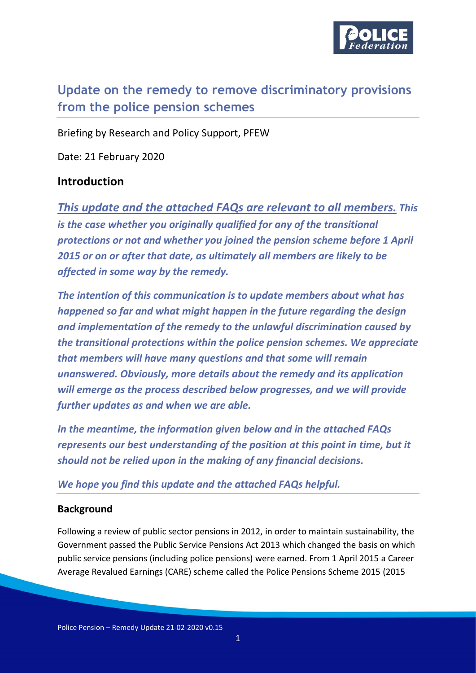

# **Update on the remedy to remove discriminatory provisions from the police pension schemes**

Briefing by Research and Policy Support, PFEW

Date: 21 February 2020

## **Introduction**

*This update and the attached FAQs are relevant to all members. This is the case whether you originally qualified for any of the transitional protections or not and whether you joined the pension scheme before 1 April 2015 or on or after that date, as ultimately all members are likely to be affected in some way by the remedy.*

*The intention of this communication is to update members about what has happened so far and what might happen in the future regarding the design and implementation of the remedy to the unlawful discrimination caused by the transitional protections within the police pension schemes. We appreciate that members will have many questions and that some will remain unanswered. Obviously, more details about the remedy and its application will emerge as the process described below progresses, and we will provide further updates as and when we are able.* 

*In the meantime, the information given below and in the attached FAQs represents our best understanding of the position at this point in time, but it should not be relied upon in the making of any financial decisions.* 

*We hope you find this update and the attached FAQs helpful.*

#### **Background**

Following a review of public sector pensions in 2012, in order to maintain sustainability, the Government passed the Public Service Pensions Act 2013 which changed the basis on which public service pensions (including police pensions) were earned. From 1 April 2015 a Career Average Revalued Earnings (CARE) scheme called the Police Pensions Scheme 2015 (2015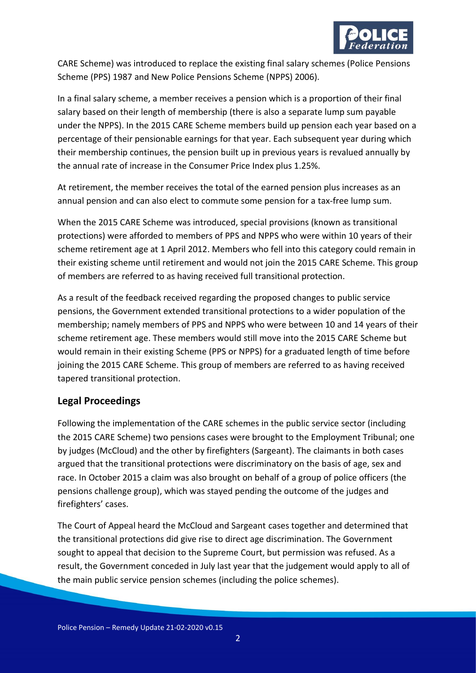

CARE Scheme) was introduced to replace the existing final salary schemes (Police Pensions Scheme (PPS) 1987 and New Police Pensions Scheme (NPPS) 2006).

In a final salary scheme, a member receives a pension which is a proportion of their final salary based on their length of membership (there is also a separate lump sum payable under the NPPS). In the 2015 CARE Scheme members build up pension each year based on a percentage of their pensionable earnings for that year. Each subsequent year during which their membership continues, the pension built up in previous years is revalued annually by the annual rate of increase in the Consumer Price Index plus 1.25%.

At retirement, the member receives the total of the earned pension plus increases as an annual pension and can also elect to commute some pension for a tax-free lump sum.

When the 2015 CARE Scheme was introduced, special provisions (known as transitional protections) were afforded to members of PPS and NPPS who were within 10 years of their scheme retirement age at 1 April 2012. Members who fell into this category could remain in their existing scheme until retirement and would not join the 2015 CARE Scheme. This group of members are referred to as having received full transitional protection.

As a result of the feedback received regarding the proposed changes to public service pensions, the Government extended transitional protections to a wider population of the membership; namely members of PPS and NPPS who were between 10 and 14 years of their scheme retirement age. These members would still move into the 2015 CARE Scheme but would remain in their existing Scheme (PPS or NPPS) for a graduated length of time before joining the 2015 CARE Scheme. This group of members are referred to as having received tapered transitional protection.

#### **Legal Proceedings**

Following the implementation of the CARE schemes in the public service sector (including the 2015 CARE Scheme) two pensions cases were brought to the Employment Tribunal; one by judges (McCloud) and the other by firefighters (Sargeant). The claimants in both cases argued that the transitional protections were discriminatory on the basis of age, sex and race. In October 2015 a claim was also brought on behalf of a group of police officers (the pensions challenge group), which was stayed pending the outcome of the judges and firefighters' cases.

The Court of Appeal heard the McCloud and Sargeant cases together and determined that the transitional protections did give rise to direct age discrimination. The Government sought to appeal that decision to the Supreme Court, but permission was refused. As a result, the Government conceded in July last year that the judgement would apply to all of the main public service pension schemes (including the police schemes).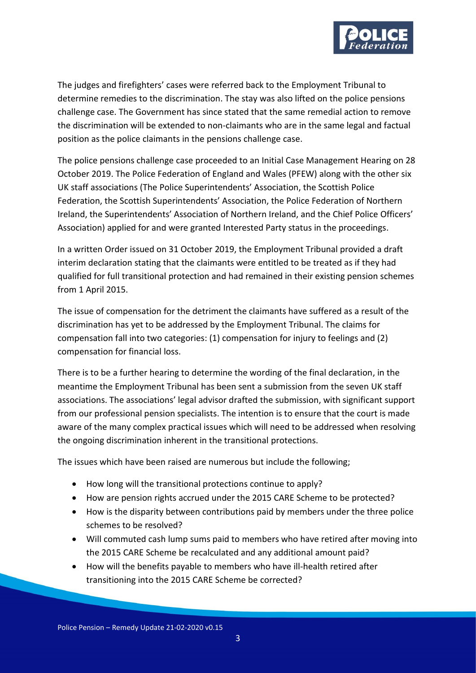

The judges and firefighters' cases were referred back to the Employment Tribunal to determine remedies to the discrimination. The stay was also lifted on the police pensions challenge case. The Government has since stated that the same remedial action to remove the discrimination will be extended to non-claimants who are in the same legal and factual position as the police claimants in the pensions challenge case.

The police pensions challenge case proceeded to an Initial Case Management Hearing on 28 October 2019. The Police Federation of England and Wales (PFEW) along with the other six UK staff associations (The Police Superintendents' Association, the Scottish Police Federation, the Scottish Superintendents' Association, the Police Federation of Northern Ireland, the Superintendents' Association of Northern Ireland, and the Chief Police Officers' Association) applied for and were granted Interested Party status in the proceedings.

In a written Order issued on 31 October 2019, the Employment Tribunal provided a draft interim declaration stating that the claimants were entitled to be treated as if they had qualified for full transitional protection and had remained in their existing pension schemes from 1 April 2015.

The issue of compensation for the detriment the claimants have suffered as a result of the discrimination has yet to be addressed by the Employment Tribunal. The claims for compensation fall into two categories: (1) compensation for injury to feelings and (2) compensation for financial loss.

There is to be a further hearing to determine the wording of the final declaration, in the meantime the Employment Tribunal has been sent a submission from the seven UK staff associations. The associations' legal advisor drafted the submission, with significant support from our professional pension specialists. The intention is to ensure that the court is made aware of the many complex practical issues which will need to be addressed when resolving the ongoing discrimination inherent in the transitional protections.

The issues which have been raised are numerous but include the following;

- How long will the transitional protections continue to apply?
- How are pension rights accrued under the 2015 CARE Scheme to be protected?
- How is the disparity between contributions paid by members under the three police schemes to be resolved?
- Will commuted cash lump sums paid to members who have retired after moving into the 2015 CARE Scheme be recalculated and any additional amount paid?
- How will the benefits payable to members who have ill-health retired after transitioning into the 2015 CARE Scheme be corrected?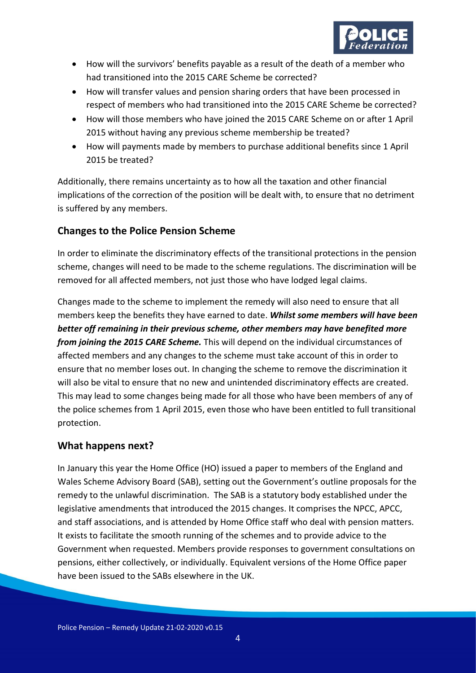

- How will the survivors' benefits payable as a result of the death of a member who had transitioned into the 2015 CARE Scheme be corrected?
- How will transfer values and pension sharing orders that have been processed in respect of members who had transitioned into the 2015 CARE Scheme be corrected?
- How will those members who have joined the 2015 CARE Scheme on or after 1 April 2015 without having any previous scheme membership be treated?
- How will payments made by members to purchase additional benefits since 1 April 2015 be treated?

Additionally, there remains uncertainty as to how all the taxation and other financial implications of the correction of the position will be dealt with, to ensure that no detriment is suffered by any members.

## **Changes to the Police Pension Scheme**

In order to eliminate the discriminatory effects of the transitional protections in the pension scheme, changes will need to be made to the scheme regulations. The discrimination will be removed for all affected members, not just those who have lodged legal claims.

Changes made to the scheme to implement the remedy will also need to ensure that all members keep the benefits they have earned to date. *Whilst some members will have been better off remaining in their previous scheme, other members may have benefited more from joining the 2015 CARE Scheme.* This will depend on the individual circumstances of affected members and any changes to the scheme must take account of this in order to ensure that no member loses out. In changing the scheme to remove the discrimination it will also be vital to ensure that no new and unintended discriminatory effects are created. This may lead to some changes being made for all those who have been members of any of the police schemes from 1 April 2015, even those who have been entitled to full transitional protection.

#### **What happens next?**

In January this year the Home Office (HO) issued a paper to members of the England and Wales Scheme Advisory Board (SAB), setting out the Government's outline proposals for the remedy to the unlawful discrimination. The SAB is a statutory body established under the legislative amendments that introduced the 2015 changes. It comprises the NPCC, APCC, and staff associations, and is attended by Home Office staff who deal with pension matters. It exists to facilitate the smooth running of the schemes and to provide advice to the Government when requested. Members provide responses to government consultations on pensions, either collectively, or individually. Equivalent versions of the Home Office paper have been issued to the SABs elsewhere in the UK.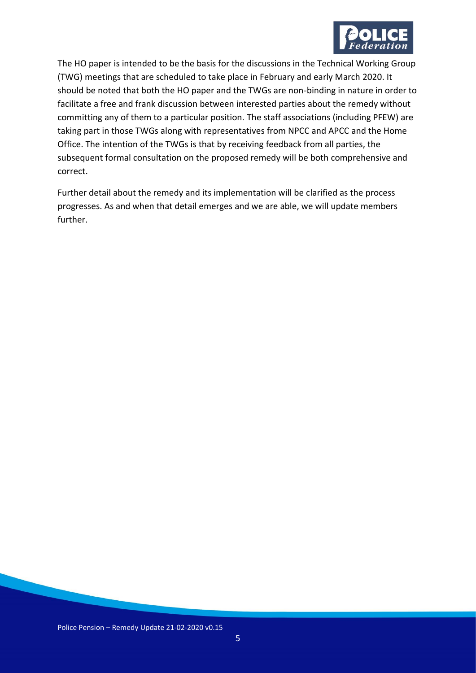

The HO paper is intended to be the basis for the discussions in the Technical Working Group (TWG) meetings that are scheduled to take place in February and early March 2020. It should be noted that both the HO paper and the TWGs are non-binding in nature in order to facilitate a free and frank discussion between interested parties about the remedy without committing any of them to a particular position. The staff associations (including PFEW) are taking part in those TWGs along with representatives from NPCC and APCC and the Home Office. The intention of the TWGs is that by receiving feedback from all parties, the subsequent formal consultation on the proposed remedy will be both comprehensive and correct.

Further detail about the remedy and its implementation will be clarified as the process progresses. As and when that detail emerges and we are able, we will update members further.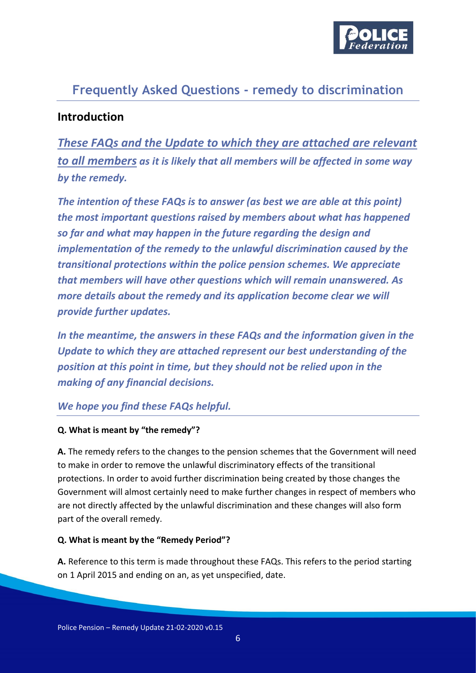

# **Frequently Asked Questions - remedy to discrimination**

# **Introduction**

*These FAQs and the Update to which they are attached are relevant to all members as it is likely that all members will be affected in some way by the remedy.* 

*The intention of these FAQs is to answer (as best we are able at this point) the most important questions raised by members about what has happened so far and what may happen in the future regarding the design and implementation of the remedy to the unlawful discrimination caused by the transitional protections within the police pension schemes. We appreciate that members will have other questions which will remain unanswered. As more details about the remedy and its application become clear we will provide further updates.* 

*In the meantime, the answers in these FAQs and the information given in the Update to which they are attached represent our best understanding of the position at this point in time, but they should not be relied upon in the making of any financial decisions.* 

#### *We hope you find these FAQs helpful.*

#### **Q. What is meant by "the remedy"?**

**A.** The remedy refers to the changes to the pension schemes that the Government will need to make in order to remove the unlawful discriminatory effects of the transitional protections. In order to avoid further discrimination being created by those changes the Government will almost certainly need to make further changes in respect of members who are not directly affected by the unlawful discrimination and these changes will also form part of the overall remedy.

#### **Q. What is meant by the "Remedy Period"?**

**A.** Reference to this term is made throughout these FAQs. This refers to the period starting on 1 April 2015 and ending on an, as yet unspecified, date.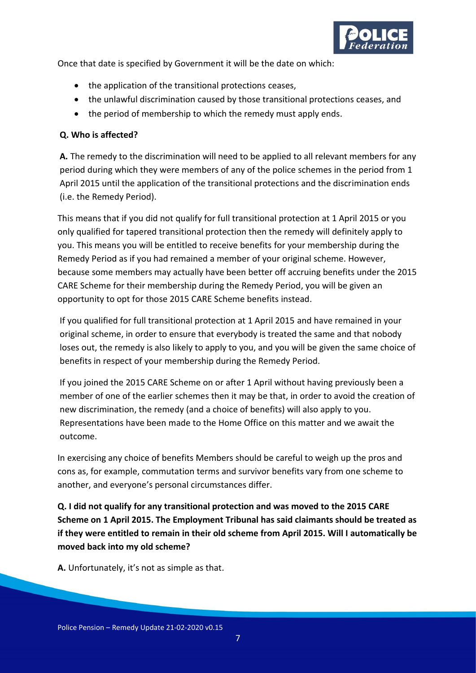

Once that date is specified by Government it will be the date on which:

- the application of the transitional protections ceases,
- the unlawful discrimination caused by those transitional protections ceases, and
- the period of membership to which the remedy must apply ends.

#### **Q. Who is affected?**

**A***.* The remedy to the discrimination will need to be applied to all relevant members for any period during which they were members of any of the police schemes in the period from 1 April 2015 until the application of the transitional protections and the discrimination ends (i.e. the Remedy Period).

This means that if you did not qualify for full transitional protection at 1 April 2015 or you only qualified for tapered transitional protection then the remedy will definitely apply to you. This means you will be entitled to receive benefits for your membership during the Remedy Period as if you had remained a member of your original scheme. However, because some members may actually have been better off accruing benefits under the 2015 CARE Scheme for their membership during the Remedy Period, you will be given an opportunity to opt for those 2015 CARE Scheme benefits instead.

If you qualified for full transitional protection at 1 April 2015 and have remained in your original scheme, in order to ensure that everybody is treated the same and that nobody loses out, the remedy is also likely to apply to you, and you will be given the same choice of benefits in respect of your membership during the Remedy Period.

If you joined the 2015 CARE Scheme on or after 1 April without having previously been a member of one of the earlier schemes then it may be that, in order to avoid the creation of new discrimination, the remedy (and a choice of benefits) will also apply to you. Representations have been made to the Home Office on this matter and we await the outcome.

In exercising any choice of benefits Members should be careful to weigh up the pros and cons as, for example, commutation terms and survivor benefits vary from one scheme to another, and everyone's personal circumstances differ.

**Q. I did not qualify for any transitional protection and was moved to the 2015 CARE Scheme on 1 April 2015. The Employment Tribunal has said claimants should be treated as if they were entitled to remain in their old scheme from April 2015. Will I automatically be moved back into my old scheme?** 

**A.** Unfortunately, it's not as simple as that.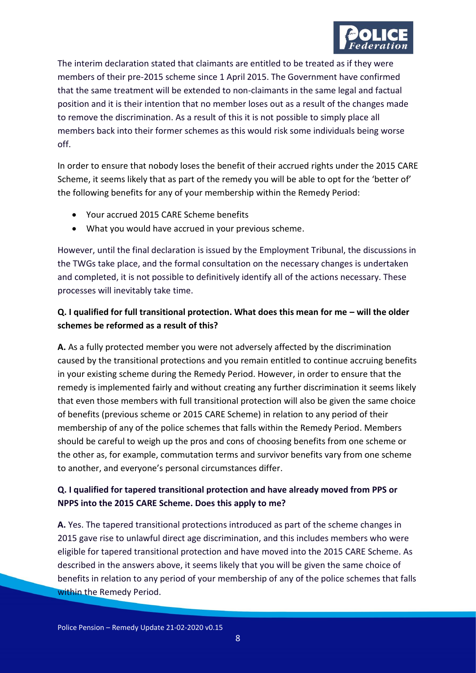

The interim declaration stated that claimants are entitled to be treated as if they were members of their pre-2015 scheme since 1 April 2015. The Government have confirmed that the same treatment will be extended to non-claimants in the same legal and factual position and it is their intention that no member loses out as a result of the changes made to remove the discrimination. As a result of this it is not possible to simply place all members back into their former schemes as this would risk some individuals being worse off.

In order to ensure that nobody loses the benefit of their accrued rights under the 2015 CARE Scheme, it seems likely that as part of the remedy you will be able to opt for the 'better of' the following benefits for any of your membership within the Remedy Period:

- Your accrued 2015 CARE Scheme benefits
- What you would have accrued in your previous scheme.

However, until the final declaration is issued by the Employment Tribunal, the discussions in the TWGs take place, and the formal consultation on the necessary changes is undertaken and completed, it is not possible to definitively identify all of the actions necessary. These processes will inevitably take time.

## **Q. I qualified for full transitional protection. What does this mean for me – will the older schemes be reformed as a result of this?**

**A.** As a fully protected member you were not adversely affected by the discrimination caused by the transitional protections and you remain entitled to continue accruing benefits in your existing scheme during the Remedy Period. However, in order to ensure that the remedy is implemented fairly and without creating any further discrimination it seems likely that even those members with full transitional protection will also be given the same choice of benefits (previous scheme or 2015 CARE Scheme) in relation to any period of their membership of any of the police schemes that falls within the Remedy Period. Members should be careful to weigh up the pros and cons of choosing benefits from one scheme or the other as, for example, commutation terms and survivor benefits vary from one scheme to another, and everyone's personal circumstances differ.

## **Q. I qualified for tapered transitional protection and have already moved from PPS or NPPS into the 2015 CARE Scheme. Does this apply to me?**

**A.** Yes. The tapered transitional protections introduced as part of the scheme changes in 2015 gave rise to unlawful direct age discrimination, and this includes members who were eligible for tapered transitional protection and have moved into the 2015 CARE Scheme. As described in the answers above, it seems likely that you will be given the same choice of benefits in relation to any period of your membership of any of the police schemes that falls within the Remedy Period.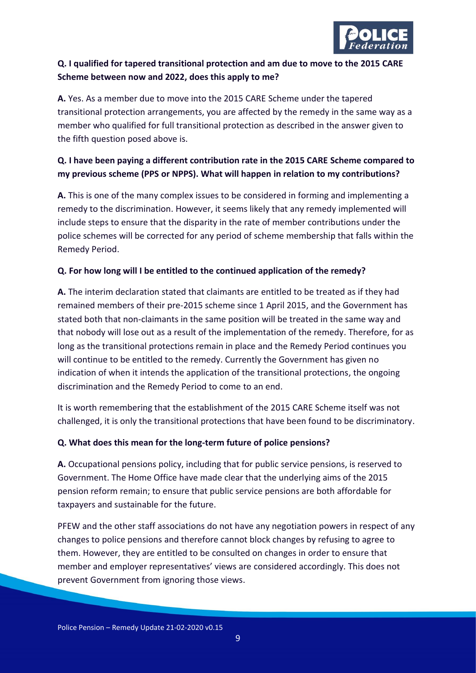

# **Q. I qualified for tapered transitional protection and am due to move to the 2015 CARE Scheme between now and 2022, does this apply to me?**

**A.** Yes. As a member due to move into the 2015 CARE Scheme under the tapered transitional protection arrangements, you are affected by the remedy in the same way as a member who qualified for full transitional protection as described in the answer given to the fifth question posed above is.

### **Q. I have been paying a different contribution rate in the 2015 CARE Scheme compared to my previous scheme (PPS or NPPS). What will happen in relation to my contributions?**

**A.** This is one of the many complex issues to be considered in forming and implementing a remedy to the discrimination. However, it seems likely that any remedy implemented will include steps to ensure that the disparity in the rate of member contributions under the police schemes will be corrected for any period of scheme membership that falls within the Remedy Period.

#### **Q. For how long will I be entitled to the continued application of the remedy?**

**A.** The interim declaration stated that claimants are entitled to be treated as if they had remained members of their pre-2015 scheme since 1 April 2015, and the Government has stated both that non-claimants in the same position will be treated in the same way and that nobody will lose out as a result of the implementation of the remedy. Therefore, for as long as the transitional protections remain in place and the Remedy Period continues you will continue to be entitled to the remedy. Currently the Government has given no indication of when it intends the application of the transitional protections, the ongoing discrimination and the Remedy Period to come to an end.

It is worth remembering that the establishment of the 2015 CARE Scheme itself was not challenged, it is only the transitional protections that have been found to be discriminatory.

#### **Q. What does this mean for the long-term future of police pensions?**

**A.** Occupational pensions policy, including that for public service pensions, is reserved to Government. The Home Office have made clear that the underlying aims of the 2015 pension reform remain; to ensure that public service pensions are both affordable for taxpayers and sustainable for the future.

PFEW and the other staff associations do not have any negotiation powers in respect of any changes to police pensions and therefore cannot block changes by refusing to agree to them. However, they are entitled to be consulted on changes in order to ensure that member and employer representatives' views are considered accordingly. This does not prevent Government from ignoring those views.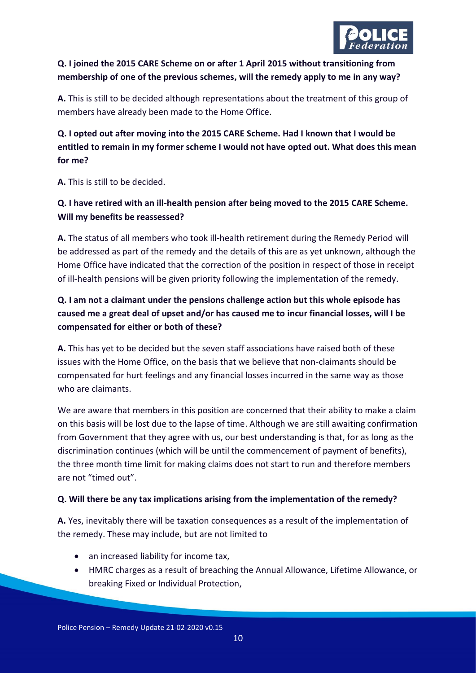

# **Q. I joined the 2015 CARE Scheme on or after 1 April 2015 without transitioning from membership of one of the previous schemes, will the remedy apply to me in any way?**

**A.** This is still to be decided although representations about the treatment of this group of members have already been made to the Home Office.

# **Q. I opted out after moving into the 2015 CARE Scheme. Had I known that I would be entitled to remain in my former scheme I would not have opted out. What does this mean for me?**

**A.** This is still to be decided.

# **Q. I have retired with an ill-health pension after being moved to the 2015 CARE Scheme. Will my benefits be reassessed?**

**A.** The status of all members who took ill-health retirement during the Remedy Period will be addressed as part of the remedy and the details of this are as yet unknown, although the Home Office have indicated that the correction of the position in respect of those in receipt of ill-health pensions will be given priority following the implementation of the remedy.

# **Q. I am not a claimant under the pensions challenge action but this whole episode has caused me a great deal of upset and/or has caused me to incur financial losses, will I be compensated for either or both of these?**

**A.** This has yet to be decided but the seven staff associations have raised both of these issues with the Home Office, on the basis that we believe that non-claimants should be compensated for hurt feelings and any financial losses incurred in the same way as those who are claimants.

We are aware that members in this position are concerned that their ability to make a claim on this basis will be lost due to the lapse of time. Although we are still awaiting confirmation from Government that they agree with us, our best understanding is that, for as long as the discrimination continues (which will be until the commencement of payment of benefits), the three month time limit for making claims does not start to run and therefore members are not "timed out".

#### **Q. Will there be any tax implications arising from the implementation of the remedy?**

**A.** Yes, inevitably there will be taxation consequences as a result of the implementation of the remedy. These may include, but are not limited to

- an increased liability for income tax,
- HMRC charges as a result of breaching the Annual Allowance, Lifetime Allowance, or breaking Fixed or Individual Protection,